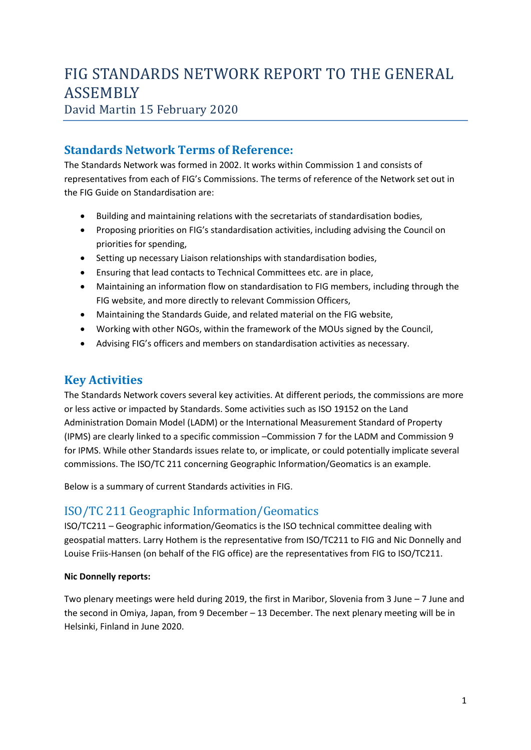# FIG STANDARDS NETWORK REPORT TO THE GENERAL ASSEMBLY

# David Martin 15 February 2020

# **Standards Network Terms of Reference:**

The Standards Network was formed in 2002. It works within Commission 1 and consists of representatives from each of FIG's Commissions. The terms of reference of the Network set out in the FIG Guide on Standardisation are:

- Building and maintaining relations with the secretariats of standardisation bodies,
- Proposing priorities on FIG's standardisation activities, including advising the Council on priorities for spending,
- Setting up necessary Liaison relationships with standardisation bodies,
- Ensuring that lead contacts to Technical Committees etc. are in place,
- Maintaining an information flow on standardisation to FIG members, including through the FIG website, and more directly to relevant Commission Officers,
- Maintaining the Standards Guide, and related material on the FIG website,
- Working with other NGOs, within the framework of the MOUs signed by the Council,
- Advising FIG's officers and members on standardisation activities as necessary.

# **Key Activities**

The Standards Network covers several key activities. At different periods, the commissions are more or less active or impacted by Standards. Some activities such as ISO 19152 on the Land Administration Domain Model (LADM) or the International Measurement Standard of Property (IPMS) are clearly linked to a specific commission –Commission 7 for the LADM and Commission 9 for IPMS. While other Standards issues relate to, or implicate, or could potentially implicate several commissions. The ISO/TC 211 concerning Geographic Information/Geomatics is an example.

Below is a summary of current Standards activities in FIG.

# ISO/TC 211 Geographic Information/Geomatics

ISO/TC211 – Geographic information/Geomatics is the ISO technical committee dealing with geospatial matters. Larry Hothem is the representative from ISO/TC211 to FIG and Nic Donnelly and Louise Friis-Hansen (on behalf of the FIG office) are the representatives from FIG to ISO/TC211.

#### **Nic Donnelly reports:**

Two plenary meetings were held during 2019, the first in Maribor, Slovenia from 3 June – 7 June and the second in Omiya, Japan, from 9 December – 13 December. The next plenary meeting will be in Helsinki, Finland in June 2020.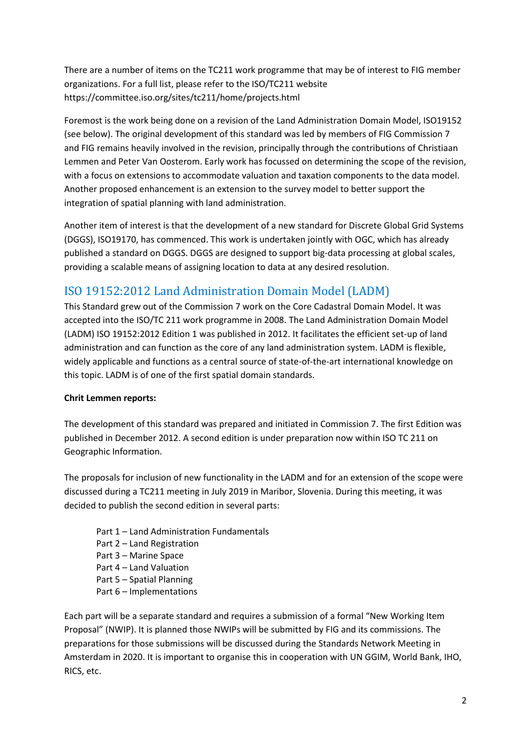There are a number of items on the TC211 work programme that may be of interest to FIG member organizations. For a full list, please refer to the ISO/TC211 website https://committee.iso.org/sites/tc211/home/projects.html

Foremost is the work being done on a revision of the Land Administration Domain Model, ISO19152 (see below). The original development of this standard was led by members of FIG Commission 7 and FIG remains heavily involved in the revision, principally through the contributions of Christiaan Lemmen and Peter Van Oosterom. Early work has focussed on determining the scope of the revision, with a focus on extensions to accommodate valuation and taxation components to the data model. Another proposed enhancement is an extension to the survey model to better support the integration of spatial planning with land administration.

Another item of interest is that the development of a new standard for Discrete Global Grid Systems (DGGS), ISO19170, has commenced. This work is undertaken jointly with OGC, which has already published a standard on DGGS. DGGS are designed to support big-data processing at global scales, providing a scalable means of assigning location to data at any desired resolution.

# ISO 19152:2012 Land Administration Domain Model (LADM)

This Standard grew out of the Commission 7 work on the Core Cadastral Domain Model. It was accepted into the ISO/TC 211 work programme in 2008. The Land Administration Domain Model (LADM) ISO 19152:2012 Edition 1 was published in 2012. It facilitates the efficient set-up of land administration and can function as the core of any land administration system. LADM is flexible, widely applicable and functions as a central source of state-of-the-art international knowledge on this topic. LADM is of one of the first spatial domain standards.

#### **Chrit Lemmen reports:**

The development of this standard was prepared and initiated in Commission 7. The first Edition was published in December 2012. A second edition is under preparation now within ISO TC 211 on Geographic Information.

The proposals for inclusion of new functionality in the LADM and for an extension of the scope were discussed during a TC211 meeting in July 2019 in Maribor, Slovenia. During this meeting, it was decided to publish the second edition in several parts:

- Part 1 Land Administration Fundamentals
- Part 2 Land Registration
- Part 3 Marine Space
- Part 4 Land Valuation
- Part 5 Spatial Planning
- Part 6 Implementations

Each part will be a separate standard and requires a submission of a formal "New Working Item Proposal" (NWIP). It is planned those NWIPs will be submitted by FIG and its commissions. The preparations for those submissions will be discussed during the Standards Network Meeting in Amsterdam in 2020. It is important to organise this in cooperation with UN GGIM, World Bank, IHO, RICS, etc.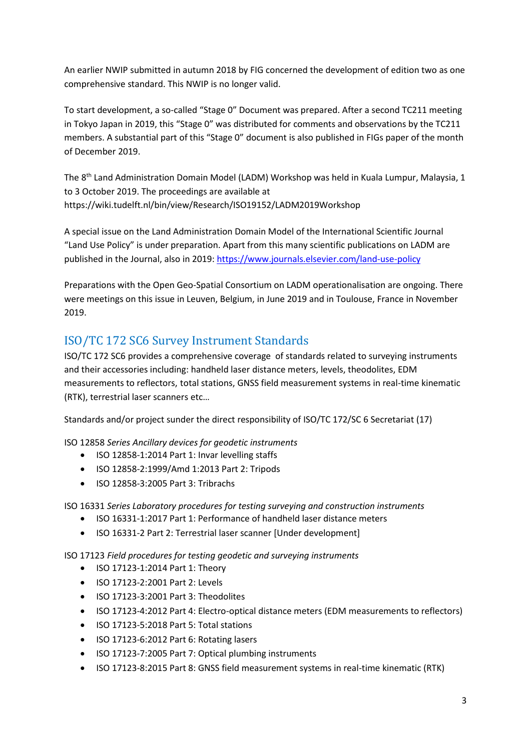An earlier NWIP submitted in autumn 2018 by FIG concerned the development of edition two as one comprehensive standard. This NWIP is no longer valid.

To start development, a so-called "Stage 0" Document was prepared. After a second TC211 meeting in Tokyo Japan in 2019, this "Stage 0" was distributed for comments and observations by the TC211 members. A substantial part of this "Stage 0" document is also published in FIGs paper of the month of December 2019.

The 8<sup>th</sup> Land Administration Domain Model (LADM) Workshop was held in Kuala Lumpur, Malaysia, 1 to 3 October 2019. The proceedings are available at https://wiki.tudelft.nl/bin/view/Research/ISO19152/LADM2019Workshop

A special issue on the Land Administration Domain Model of the International Scientific Journal "Land Use Policy" is under preparation. Apart from this many scientific publications on LADM are published in the Journal, also in 2019:<https://www.journals.elsevier.com/land-use-policy>

Preparations with the Open Geo-Spatial Consortium on LADM operationalisation are ongoing. There were meetings on this issue in Leuven, Belgium, in June 2019 and in Toulouse, France in November 2019.

## ISO/TC 172 SC6 Survey Instrument Standards

ISO/TC 172 SC6 provides a comprehensive coverage of standards related to surveying instruments and their accessories including: handheld laser distance meters, levels, theodolites, EDM measurements to reflectors, total stations, GNSS field measurement systems in real-time kinematic (RTK), terrestrial laser scanners etc…

Standards and/or project sunder the direct responsibility of ISO/TC 172/SC 6 Secretariat (17)

ISO 12858 *Series Ancillary devices for geodetic instruments*

- ISO 12858-1:2014 Part 1: Invar levelling staffs
- ISO 12858-2:1999/Amd 1:2013 Part 2: Tripods
- ISO 12858-3:2005 Part 3: Tribrachs

ISO 16331 *Series Laboratory procedures for testing surveying and construction instruments*

- ISO 16331-1:2017 Part 1: Performance of handheld laser distance meters
- ISO 16331-2 Part 2: Terrestrial laser scanner [Under development]

ISO 17123 *Field procedures for testing geodetic and surveying instruments*

- ISO 17123-1:2014 Part 1: Theory
- ISO 17123-2:2001 Part 2: Levels
- ISO 17123-3:2001 Part 3: Theodolites
- ISO 17123-4:2012 Part 4: Electro-optical distance meters (EDM measurements to reflectors)
- ISO 17123-5:2018 Part 5: Total stations
- ISO 17123-6:2012 Part 6: Rotating lasers
- ISO 17123-7:2005 Part 7: Optical plumbing instruments
- ISO 17123-8:2015 Part 8: GNSS field measurement systems in real-time kinematic (RTK)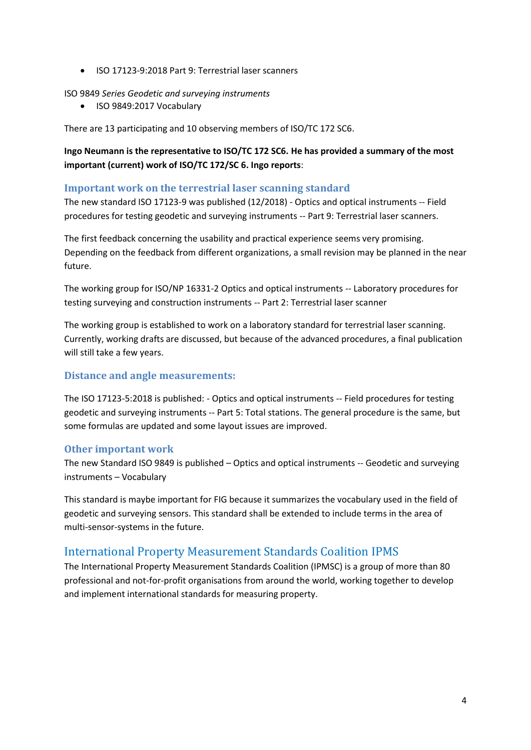• ISO 17123-9:2018 Part 9: Terrestrial laser scanners

ISO 9849 *Series Geodetic and surveying instruments*

• ISO 9849:2017 Vocabulary

There are 13 participating and 10 observing members of ISO/TC 172 SC6.

**Ingo Neumann is the representative to ISO/TC 172 SC6. He has provided a summary of the most important (current) work of ISO/TC 172/SC 6. Ingo reports**:

#### **Important work on the terrestrial laser scanning standard**

The new standard ISO 17123-9 was published (12/2018) - Optics and optical instruments -- Field procedures for testing geodetic and surveying instruments -- Part 9: Terrestrial laser scanners.

The first feedback concerning the usability and practical experience seems very promising. Depending on the feedback from different organizations, a small revision may be planned in the near future.

The working group for ISO/NP 16331-2 Optics and optical instruments -- Laboratory procedures for testing surveying and construction instruments -- Part 2: Terrestrial laser scanner

The working group is established to work on a laboratory standard for terrestrial laser scanning. Currently, working drafts are discussed, but because of the advanced procedures, a final publication will still take a few years.

#### **Distance and angle measurements:**

The ISO 17123-5:2018 is published: - Optics and optical instruments -- Field procedures for testing geodetic and surveying instruments -- Part 5: Total stations. The general procedure is the same, but some formulas are updated and some layout issues are improved.

#### **Other important work**

The new Standard ISO 9849 is published – Optics and optical instruments -- Geodetic and surveying instruments – Vocabulary

This standard is maybe important for FIG because it summarizes the vocabulary used in the field of geodetic and surveying sensors. This standard shall be extended to include terms in the area of multi-sensor-systems in the future.

### International Property Measurement Standards Coalition IPMS

The International Property Measurement Standards Coalition (IPMSC) is a group of more than 80 professional and not-for-profit organisations from around the world, working together to develop and implement international standards for measuring property.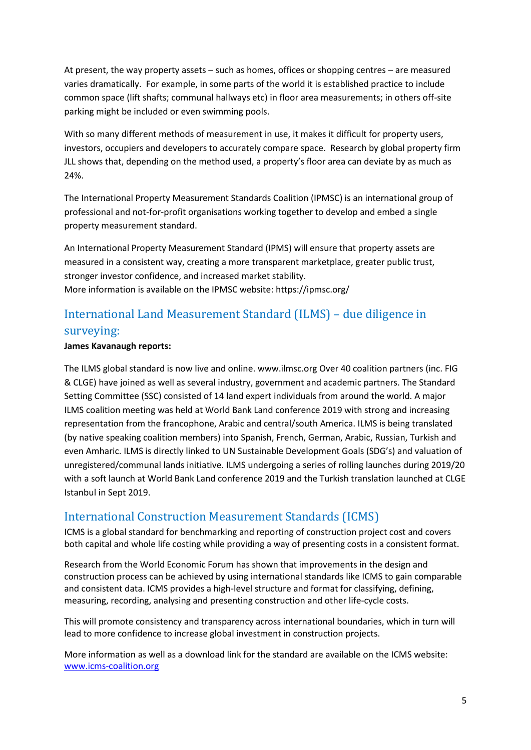At present, the way property assets – such as homes, offices or shopping centres – are measured varies dramatically. For example, in some parts of the world it is established practice to include common space (lift shafts; communal hallways etc) in floor area measurements; in others off-site parking might be included or even swimming pools.

With so many different methods of measurement in use, it makes it difficult for property users, investors, occupiers and developers to accurately compare space. Research by global property firm JLL shows that, depending on the method used, a property's floor area can deviate by as much as 24%.

The International Property Measurement Standards Coalition (IPMSC) is an international group of professional and not-for-profit organisations working together to develop and embed a single property measurement standard.

An International Property Measurement Standard (IPMS) will ensure that property assets are measured in a consistent way, creating a more transparent marketplace, greater public trust, stronger investor confidence, and increased market stability. More information is available on the IPMSC website: https://ipmsc.org/

# International Land Measurement Standard (ILMS) – due diligence in surveying:

#### **James Kavanaugh reports:**

The ILMS global standard is now live and online. www.ilmsc.org Over 40 coalition partners (inc. FIG & CLGE) have joined as well as several industry, government and academic partners. The Standard Setting Committee (SSC) consisted of 14 land expert individuals from around the world. A major ILMS coalition meeting was held at World Bank Land conference 2019 with strong and increasing representation from the francophone, Arabic and central/south America. ILMS is being translated (by native speaking coalition members) into Spanish, French, German, Arabic, Russian, Turkish and even Amharic. ILMS is directly linked to UN Sustainable Development Goals (SDG's) and valuation of unregistered/communal lands initiative. ILMS undergoing a series of rolling launches during 2019/20 with a soft launch at World Bank Land conference 2019 and the Turkish translation launched at CLGE Istanbul in Sept 2019.

### International Construction Measurement Standards (ICMS)

ICMS is a global standard for benchmarking and reporting of construction project cost and covers both capital and whole life costing while providing a way of presenting costs in a consistent format.

Research from the World Economic Forum has shown that improvements in the design and construction process can be achieved by using international standards like ICMS to gain comparable and consistent data. ICMS provides a high-level structure and format for classifying, defining, measuring, recording, analysing and presenting construction and other life-cycle costs.

This will promote consistency and transparency across international boundaries, which in turn will lead to more confidence to increase global investment in construction projects.

More information as well as a download link for the standard are available on the ICMS website: [www.icms-coalition.org](http://www.icms-coalition.org/)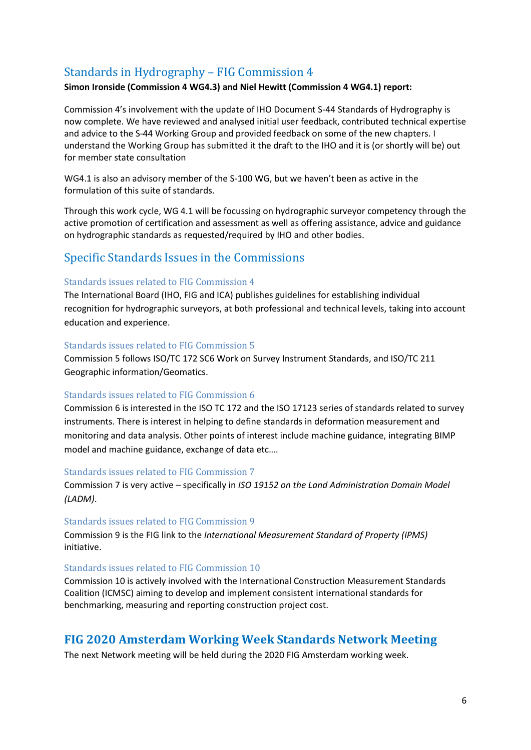## Standards in Hydrography – FIG Commission 4

#### **Simon Ironside (Commission 4 WG4.3) and Niel Hewitt (Commission 4 WG4.1) report:**

Commission 4's involvement with the update of IHO Document S-44 Standards of Hydrography is now complete. We have reviewed and analysed initial user feedback, contributed technical expertise and advice to the S-44 Working Group and provided feedback on some of the new chapters. I understand the Working Group has submitted it the draft to the IHO and it is (or shortly will be) out for member state consultation

WG4.1 is also an advisory member of the S-100 WG, but we haven't been as active in the formulation of this suite of standards.

Through this work cycle, WG 4.1 will be focussing on hydrographic surveyor competency through the active promotion of certification and assessment as well as offering assistance, advice and guidance on hydrographic standards as requested/required by IHO and other bodies.

### Specific Standards Issues in the Commissions

#### Standards issues related to FIG Commission 4

The International Board (IHO, FIG and ICA) publishes guidelines for establishing individual recognition for hydrographic surveyors, at both professional and technical levels, taking into account education and experience.

#### Standards issues related to FIG Commission 5

Commission 5 follows ISO/TC 172 SC6 Work on Survey Instrument Standards, and ISO/TC 211 Geographic information/Geomatics.

#### Standards issues related to FIG Commission 6

Commission 6 is interested in the ISO TC 172 and the ISO 17123 series of standards related to survey instruments. There is interest in helping to define standards in deformation measurement and monitoring and data analysis. Other points of interest include machine guidance, integrating BIMP model and machine guidance, exchange of data etc….

#### Standards issues related to FIG Commission 7

Commission 7 is very active – specifically in *ISO 19152 on the Land Administration Domain Model (LADM)*.

#### Standards issues related to FIG Commission 9

Commission 9 is the FIG link to the *International Measurement Standard of Property (IPMS)* initiative.

#### Standards issues related to FIG Commission 10

Commission 10 is actively involved with the International Construction Measurement Standards Coalition (ICMSC) aiming to develop and implement consistent international standards for benchmarking, measuring and reporting construction project cost.

### **FIG 2020 Amsterdam Working Week Standards Network Meeting**

The next Network meeting will be held during the 2020 FIG Amsterdam working week.